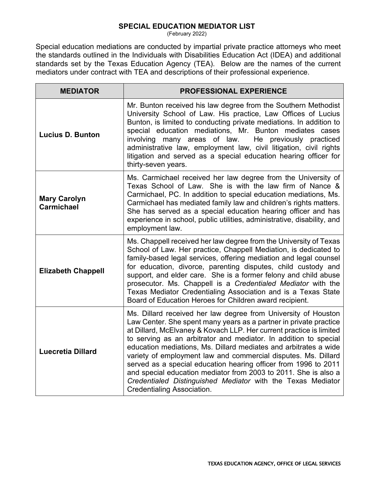## **SPECIAL EDUCATION MEDIATOR LIST**

(February 2022)

Special education mediations are conducted by impartial private practice attorneys who meet the standards outlined in the Individuals with Disabilities Education Act (IDEA) and additional standards set by the Texas Education Agency (TEA). Below are the names of the current mediators under contract with TEA and descriptions of their professional experience.

| <b>MEDIATOR</b>                          | PROFESSIONAL EXPERIENCE                                                                                                                                                                                                                                                                                                                                                                                                                                                                                                                                                                                                                                        |
|------------------------------------------|----------------------------------------------------------------------------------------------------------------------------------------------------------------------------------------------------------------------------------------------------------------------------------------------------------------------------------------------------------------------------------------------------------------------------------------------------------------------------------------------------------------------------------------------------------------------------------------------------------------------------------------------------------------|
| <b>Lucius D. Bunton</b>                  | Mr. Bunton received his law degree from the Southern Methodist<br>University School of Law. His practice, Law Offices of Lucius<br>Bunton, is limited to conducting private mediations. In addition to<br>special education mediations, Mr. Bunton mediates cases<br>involving many areas of law.<br>He previously practiced<br>administrative law, employment law, civil litigation, civil rights<br>litigation and served as a special education hearing officer for<br>thirty-seven years.                                                                                                                                                                  |
| <b>Mary Carolyn</b><br><b>Carmichael</b> | Ms. Carmichael received her law degree from the University of<br>Texas School of Law. She is with the law firm of Nance &<br>Carmichael, PC. In addition to special education mediations, Ms.<br>Carmichael has mediated family law and children's rights matters.<br>She has served as a special education hearing officer and has<br>experience in school, public utilities, administrative, disability, and<br>employment law.                                                                                                                                                                                                                              |
| <b>Elizabeth Chappell</b>                | Ms. Chappell received her law degree from the University of Texas<br>School of Law. Her practice, Chappell Mediation, is dedicated to<br>family-based legal services, offering mediation and legal counsel<br>for education, divorce, parenting disputes, child custody and<br>support, and elder care. She is a former felony and child abuse<br>prosecutor. Ms. Chappell is a Credentialed Mediator with the<br>Texas Mediator Credentialing Association and is a Texas State<br>Board of Education Heroes for Children award recipient.                                                                                                                     |
| <b>Luecretia Dillard</b>                 | Ms. Dillard received her law degree from University of Houston<br>Law Center. She spent many years as a partner in private practice<br>at Dillard, McElvaney & Kovach LLP. Her current practice is limited<br>to serving as an arbitrator and mediator. In addition to special<br>education mediations, Ms. Dillard mediates and arbitrates a wide<br>variety of employment law and commercial disputes. Ms. Dillard<br>served as a special education hearing officer from 1996 to 2011<br>and special education mediator from 2003 to 2011. She is also a<br>Credentialed Distinguished Mediator with the Texas Mediator<br><b>Credentialing Association.</b> |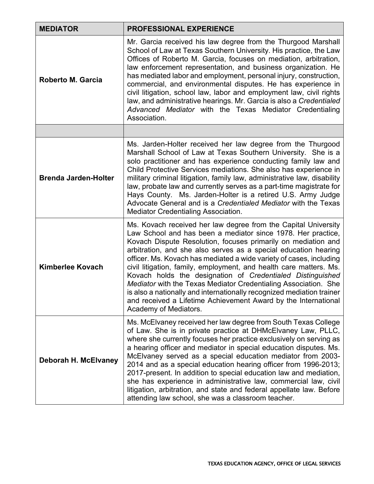| <b>MEDIATOR</b>             | <b>PROFESSIONAL EXPERIENCE</b>                                                                                                                                                                                                                                                                                                                                                                                                                                                                                                                                                                                                                                                                                       |
|-----------------------------|----------------------------------------------------------------------------------------------------------------------------------------------------------------------------------------------------------------------------------------------------------------------------------------------------------------------------------------------------------------------------------------------------------------------------------------------------------------------------------------------------------------------------------------------------------------------------------------------------------------------------------------------------------------------------------------------------------------------|
| <b>Roberto M. Garcia</b>    | Mr. Garcia received his law degree from the Thurgood Marshall<br>School of Law at Texas Southern University. His practice, the Law<br>Offices of Roberto M. Garcia, focuses on mediation, arbitration,<br>law enforcement representation, and business organization. He<br>has mediated labor and employment, personal injury, construction,<br>commercial, and environmental disputes. He has experience in<br>civil litigation, school law, labor and employment law, civil rights<br>law, and administrative hearings. Mr. Garcia is also a Credentialed<br>Advanced Mediator with the Texas Mediator Credentialing<br>Association.                                                                               |
|                             |                                                                                                                                                                                                                                                                                                                                                                                                                                                                                                                                                                                                                                                                                                                      |
| <b>Brenda Jarden-Holter</b> | Ms. Jarden-Holter received her law degree from the Thurgood<br>Marshall School of Law at Texas Southern University. She is a<br>solo practitioner and has experience conducting family law and<br>Child Protective Services mediations. She also has experience in<br>military criminal litigation, family law, administrative law, disability<br>law, probate law and currently serves as a part-time magistrate for<br>Hays County. Ms. Jarden-Holter is a retired U.S. Army Judge<br>Advocate General and is a Credentialed Mediator with the Texas<br>Mediator Credentialing Association.                                                                                                                        |
| <b>Kimberlee Kovach</b>     | Ms. Kovach received her law degree from the Capital University<br>Law School and has been a mediator since 1978. Her practice,<br>Kovach Dispute Resolution, focuses primarily on mediation and<br>arbitration, and she also serves as a special education hearing<br>officer. Ms. Kovach has mediated a wide variety of cases, including<br>civil litigation, family, employment, and health care matters. Ms.<br>Kovach holds the designation of Credentialed Distinguished<br>Mediator with the Texas Mediator Credentialing Association. She<br>is also a nationally and internationally recognized mediation trainer<br>and received a Lifetime Achievement Award by the International<br>Academy of Mediators. |
| Deborah H. McElvaney        | Ms. McElvaney received her law degree from South Texas College<br>of Law. She is in private practice at DHMcEIvaney Law, PLLC,<br>where she currently focuses her practice exclusively on serving as<br>a hearing officer and mediator in special education disputes. Ms.<br>McElvaney served as a special education mediator from 2003-<br>2014 and as a special education hearing officer from 1996-2013;<br>2017-present. In addition to special education law and mediation,<br>she has experience in administrative law, commercial law, civil<br>litigation, arbitration, and state and federal appellate law. Before<br>attending law school, she was a classroom teacher.                                    |